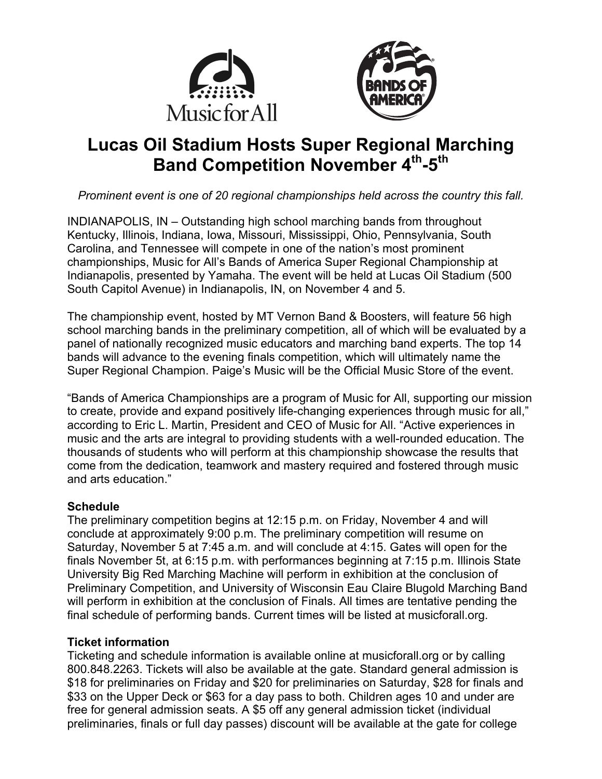



# **Lucas Oil Stadium Hosts Super Regional Marching Band Competition November 4th-5th**

*Prominent event is one of 20 regional championships held across the country this fall.*

INDIANAPOLIS, IN – Outstanding high school marching bands from throughout Kentucky, Illinois, Indiana, Iowa, Missouri, Mississippi, Ohio, Pennsylvania, South Carolina, and Tennessee will compete in one of the nation's most prominent championships, Music for All's Bands of America Super Regional Championship at Indianapolis, presented by Yamaha. The event will be held at Lucas Oil Stadium (500 South Capitol Avenue) in Indianapolis, IN, on November 4 and 5.

The championship event, hosted by MT Vernon Band & Boosters, will feature 56 high school marching bands in the preliminary competition, all of which will be evaluated by a panel of nationally recognized music educators and marching band experts. The top 14 bands will advance to the evening finals competition, which will ultimately name the Super Regional Champion. Paige's Music will be the Official Music Store of the event.

"Bands of America Championships are a program of Music for All, supporting our mission to create, provide and expand positively life-changing experiences through music for all," according to Eric L. Martin, President and CEO of Music for All. "Active experiences in music and the arts are integral to providing students with a well-rounded education. The thousands of students who will perform at this championship showcase the results that come from the dedication, teamwork and mastery required and fostered through music and arts education."

#### **Schedule**

The preliminary competition begins at 12:15 p.m. on Friday, November 4 and will conclude at approximately 9:00 p.m. The preliminary competition will resume on Saturday, November 5 at 7:45 a.m. and will conclude at 4:15. Gates will open for the finals November 5t, at 6:15 p.m. with performances beginning at 7:15 p.m. Illinois State University Big Red Marching Machine will perform in exhibition at the conclusion of Preliminary Competition, and University of Wisconsin Eau Claire Blugold Marching Band will perform in exhibition at the conclusion of Finals. All times are tentative pending the final schedule of performing bands. Current times will be listed at musicforall.org.

### **Ticket information**

Ticketing and schedule information is available online at musicforall.org or by calling 800.848.2263. Tickets will also be available at the gate. Standard general admission is \$18 for preliminaries on Friday and \$20 for preliminaries on Saturday, \$28 for finals and \$33 on the Upper Deck or \$63 for a day pass to both. Children ages 10 and under are free for general admission seats. A \$5 off any general admission ticket (individual preliminaries, finals or full day passes) discount will be available at the gate for college